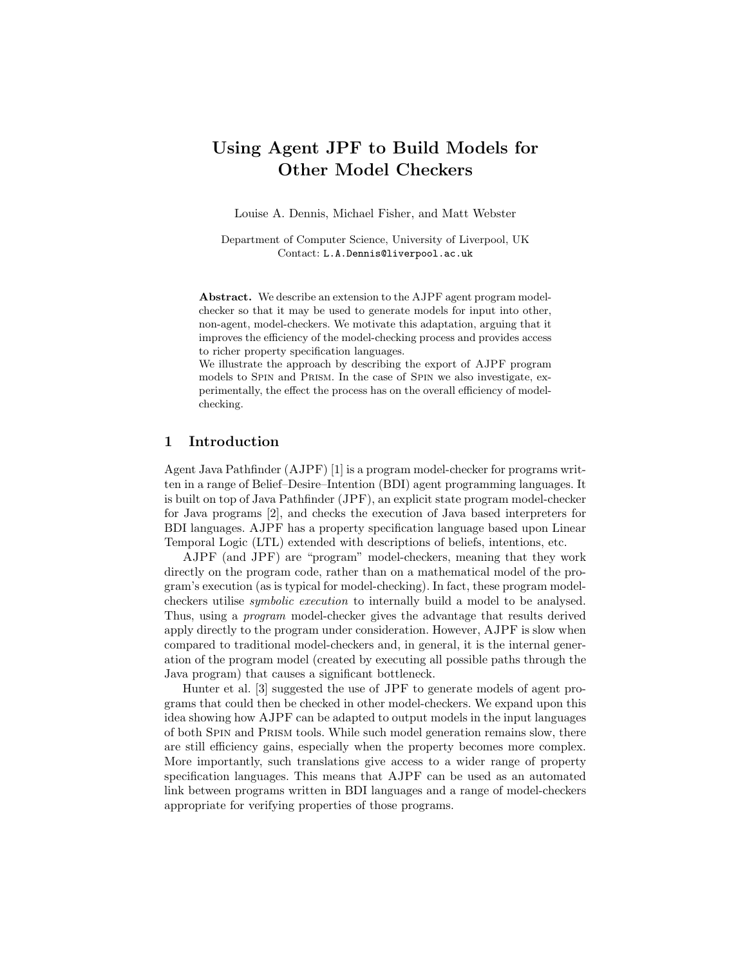# Using Agent JPF to Build Models for Other Model Checkers

Louise A. Dennis, Michael Fisher, and Matt Webster

Department of Computer Science, University of Liverpool, UK Contact: L.A.Dennis@liverpool.ac.uk

Abstract. We describe an extension to the AJPF agent program modelchecker so that it may be used to generate models for input into other, non-agent, model-checkers. We motivate this adaptation, arguing that it improves the efficiency of the model-checking process and provides access to richer property specification languages.

We illustrate the approach by describing the export of AJPF program models to Spin and Prism. In the case of Spin we also investigate, experimentally, the effect the process has on the overall efficiency of modelchecking.

# 1 Introduction

Agent Java Pathfinder (AJPF) [1] is a program model-checker for programs written in a range of Belief–Desire–Intention (BDI) agent programming languages. It is built on top of Java Pathfinder (JPF), an explicit state program model-checker for Java programs [2], and checks the execution of Java based interpreters for BDI languages. AJPF has a property specification language based upon Linear Temporal Logic (LTL) extended with descriptions of beliefs, intentions, etc.

AJPF (and JPF) are "program" model-checkers, meaning that they work directly on the program code, rather than on a mathematical model of the program's execution (as is typical for model-checking). In fact, these program modelcheckers utilise symbolic execution to internally build a model to be analysed. Thus, using a program model-checker gives the advantage that results derived apply directly to the program under consideration. However, AJPF is slow when compared to traditional model-checkers and, in general, it is the internal generation of the program model (created by executing all possible paths through the Java program) that causes a significant bottleneck.

Hunter et al. [3] suggested the use of JPF to generate models of agent programs that could then be checked in other model-checkers. We expand upon this idea showing how AJPF can be adapted to output models in the input languages of both Spin and Prism tools. While such model generation remains slow, there are still efficiency gains, especially when the property becomes more complex. More importantly, such translations give access to a wider range of property specification languages. This means that AJPF can be used as an automated link between programs written in BDI languages and a range of model-checkers appropriate for verifying properties of those programs.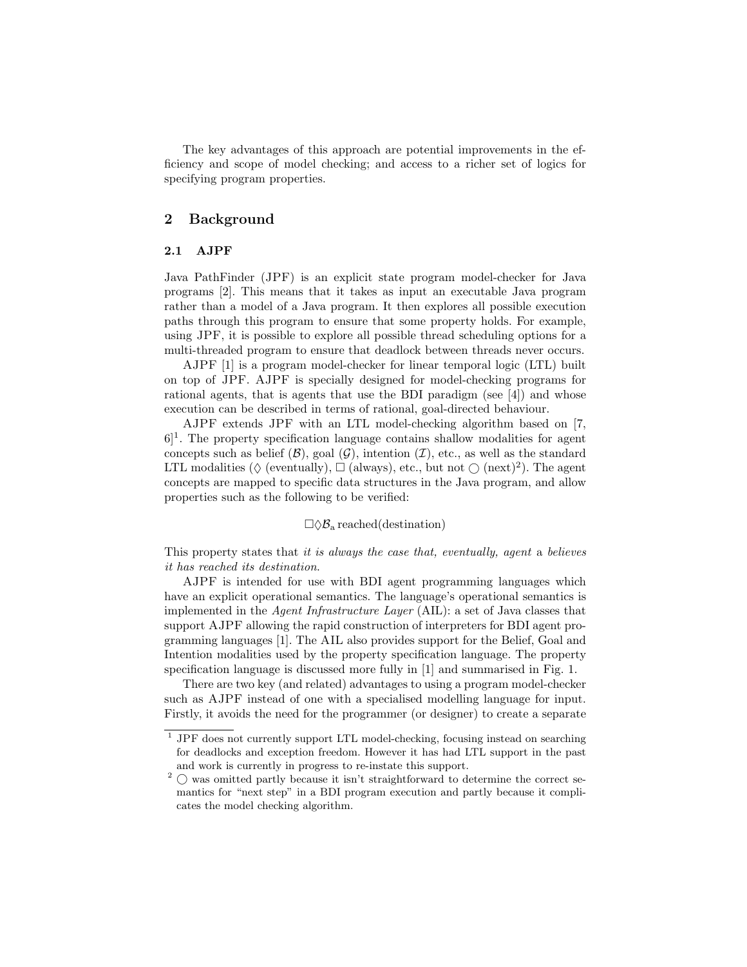The key advantages of this approach are potential improvements in the efficiency and scope of model checking; and access to a richer set of logics for specifying program properties.

# 2 Background

#### 2.1 AJPF

Java PathFinder (JPF) is an explicit state program model-checker for Java programs [2]. This means that it takes as input an executable Java program rather than a model of a Java program. It then explores all possible execution paths through this program to ensure that some property holds. For example, using JPF, it is possible to explore all possible thread scheduling options for a multi-threaded program to ensure that deadlock between threads never occurs.

AJPF [1] is a program model-checker for linear temporal logic (LTL) built on top of JPF. AJPF is specially designed for model-checking programs for rational agents, that is agents that use the BDI paradigm (see [4]) and whose execution can be described in terms of rational, goal-directed behaviour.

AJPF extends JPF with an LTL model-checking algorithm based on [7,  $6$ <sup>1</sup>. The property specification language contains shallow modalities for agent concepts such as belief  $(\mathcal{B})$ , goal  $(\mathcal{G})$ , intention  $(\mathcal{I})$ , etc., as well as the standard LTL modalities ( $\Diamond$  (eventually),  $\Box$  (always), etc., but not  $\bigcirc$  (next)<sup>2</sup>). The agent concepts are mapped to specific data structures in the Java program, and allow properties such as the following to be verified:

### $\Box \Diamond B_a$  reached(destination)

This property states that *it is always the case that, eventually, agent a believes* it has reached its destination.

AJPF is intended for use with BDI agent programming languages which have an explicit operational semantics. The language's operational semantics is implemented in the Agent Infrastructure Layer (AIL): a set of Java classes that support AJPF allowing the rapid construction of interpreters for BDI agent programming languages [1]. The AIL also provides support for the Belief, Goal and Intention modalities used by the property specification language. The property specification language is discussed more fully in [1] and summarised in Fig. 1.

There are two key (and related) advantages to using a program model-checker such as AJPF instead of one with a specialised modelling language for input. Firstly, it avoids the need for the programmer (or designer) to create a separate

<sup>&</sup>lt;sup>1</sup> JPF does not currently support LTL model-checking, focusing instead on searching for deadlocks and exception freedom. However it has had LTL support in the past and work is currently in progress to re-instate this support.

 $^2$   $\bigcirc$  was omitted partly because it isn't straightforward to determine the correct semantics for "next step" in a BDI program execution and partly because it complicates the model checking algorithm.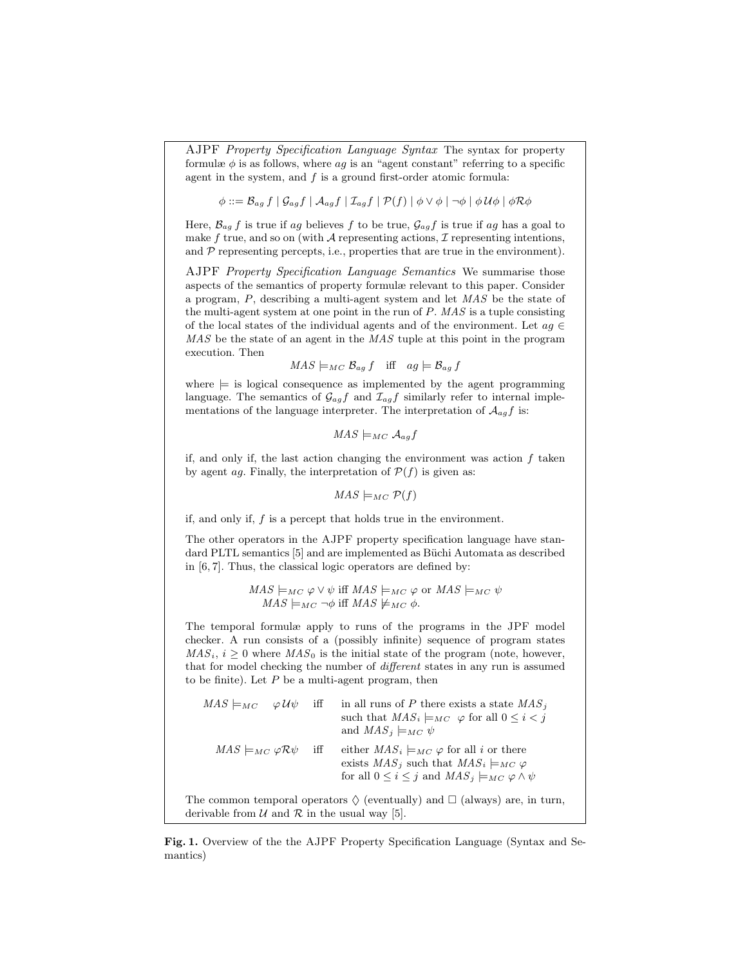AJPF Property Specification Language Syntax The syntax for property formulæ  $\phi$  is as follows, where  $aq$  is an "agent constant" referring to a specific agent in the system, and  $f$  is a ground first-order atomic formula:

 $\phi ::= \mathcal{B}_{ag} f \mid \mathcal{G}_{ag} f \mid \mathcal{A}_{ag} f \mid \mathcal{I}_{ag} f \mid \mathcal{P}(f) \mid \phi \vee \phi \mid \neg \phi \mid \phi \mathcal{U} \phi \mid \phi \mathcal{R} \phi$ 

Here,  $\mathcal{B}_{ag} f$  is true if ag believes f to be true,  $\mathcal{G}_{ag} f$  is true if ag has a goal to make f true, and so on (with  $A$  representing actions,  $I$  representing intentions, and  $P$  representing percepts, i.e., properties that are true in the environment).

AJPF Property Specification Language Semantics We summarise those aspects of the semantics of property formulæ relevant to this paper. Consider a program, P, describing a multi-agent system and let MAS be the state of the multi-agent system at one point in the run of P. MAS is a tuple consisting of the local states of the individual agents and of the environment. Let  $aq \in$ MAS be the state of an agent in the MAS tuple at this point in the program execution. Then

$$
MAS \models_{MC} \mathcal{B}_{ag} f \quad \text{iff} \quad ag \models \mathcal{B}_{ag} f
$$

where  $\equiv$  is logical consequence as implemented by the agent programming language. The semantics of  $\mathcal{G}_{ag}f$  and  $\mathcal{I}_{ag}f$  similarly refer to internal implementations of the language interpreter. The interpretation of  $A_{aa}f$  is:

$$
MAS \models_{MC} \mathcal{A}_{ag} f
$$

if, and only if, the last action changing the environment was action  $f$  taken by agent ag. Finally, the interpretation of  $P(f)$  is given as:

$$
MAS \models_{MC} \mathcal{P}(f)
$$

if, and only if, f is a percept that holds true in the environment.

The other operators in the AJPF property specification language have standard PLTL semantics [5] and are implemented as Büchi Automata as described in [6, 7]. Thus, the classical logic operators are defined by:

$$
MAS \models_{MC} \varphi \lor \psi \text{ iff } MAS \models_{MC} \varphi \text{ or } MAS \models_{MC} \psi
$$
  

$$
MAS \models_{MC} \neg \phi \text{ iff } MAS \not\models_{MC} \phi.
$$

The temporal formulæ apply to runs of the programs in the JPF model checker. A run consists of a (possibly infinite) sequence of program states  $MAS_i$ ,  $i \geq 0$  where  $MAS_0$  is the initial state of the program (note, however, that for model checking the number of different states in any run is assumed to be finite). Let  $P$  be a multi-agent program, then

| $MAS \models_{MC} \varphi \mathcal{U} \psi$ | iff | in all runs of P there exists a state $MAS_i$<br>such that $MAS_i \models_{MC} \varphi$ for all $0 \leq i < j$<br>and $MAS_i \models_{MC} \psi$                                          |
|---------------------------------------------|-----|------------------------------------------------------------------------------------------------------------------------------------------------------------------------------------------|
| $MAS \models_{MC} \varphi \mathcal{R}\psi$  | iff | either $MAS_i \models_{MC} \varphi$ for all i or there<br>exists $MAS_i$ such that $MAS_i \models_{MC} \varphi$<br>for all $0 \leq i \leq j$ and $MAS_i \models_{MC} \varphi \land \psi$ |
|                                             |     | $\mathbf{1}$ , $\mathbf{1}$ , $\mathbf{1}$ , $\mathbf{1}$ , $\mathbf{1}$ , $\mathbf{1}$                                                                                                  |

The common temporal operators  $\Diamond$  (eventually) and  $\Box$  (always) are, in turn, derivable from  $U$  and  $R$  in the usual way [5].

Fig. 1. Overview of the the AJPF Property Specification Language (Syntax and Semantics)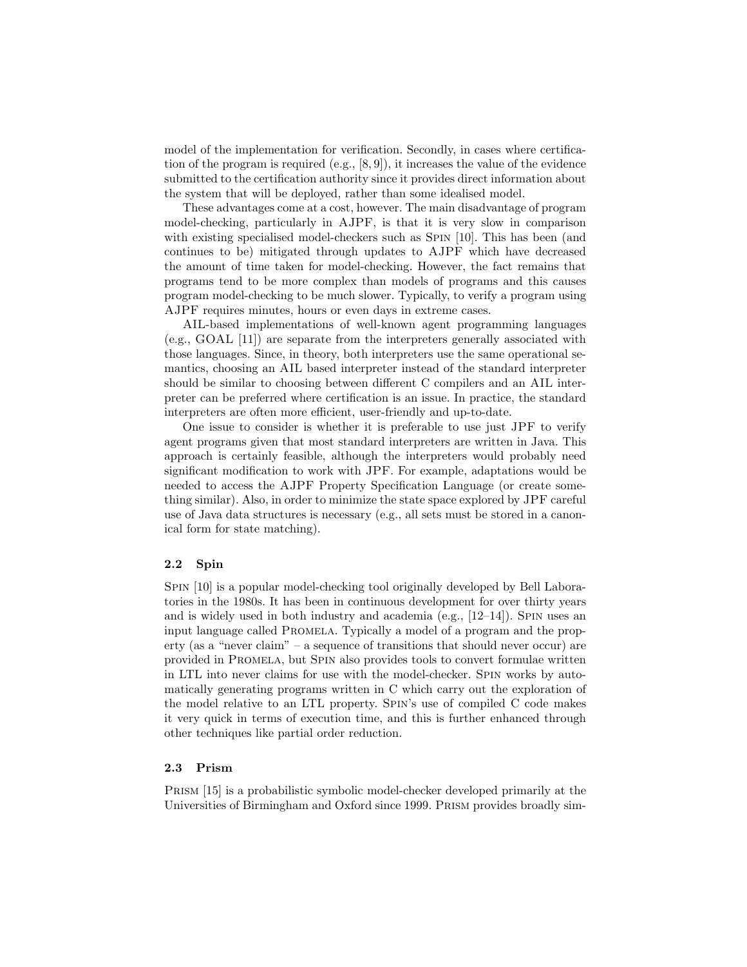model of the implementation for verification. Secondly, in cases where certification of the program is required (e.g., [8, 9]), it increases the value of the evidence submitted to the certification authority since it provides direct information about the system that will be deployed, rather than some idealised model.

These advantages come at a cost, however. The main disadvantage of program model-checking, particularly in AJPF, is that it is very slow in comparison with existing specialised model-checkers such as SPIN [10]. This has been (and continues to be) mitigated through updates to AJPF which have decreased the amount of time taken for model-checking. However, the fact remains that programs tend to be more complex than models of programs and this causes program model-checking to be much slower. Typically, to verify a program using AJPF requires minutes, hours or even days in extreme cases.

AIL-based implementations of well-known agent programming languages (e.g., GOAL [11]) are separate from the interpreters generally associated with those languages. Since, in theory, both interpreters use the same operational semantics, choosing an AIL based interpreter instead of the standard interpreter should be similar to choosing between different C compilers and an AIL interpreter can be preferred where certification is an issue. In practice, the standard interpreters are often more efficient, user-friendly and up-to-date.

One issue to consider is whether it is preferable to use just JPF to verify agent programs given that most standard interpreters are written in Java. This approach is certainly feasible, although the interpreters would probably need significant modification to work with JPF. For example, adaptations would be needed to access the AJPF Property Specification Language (or create something similar). Also, in order to minimize the state space explored by JPF careful use of Java data structures is necessary (e.g., all sets must be stored in a canonical form for state matching).

#### 2.2 Spin

Spin [10] is a popular model-checking tool originally developed by Bell Laboratories in the 1980s. It has been in continuous development for over thirty years and is widely used in both industry and academia (e.g.,  $[12-14]$ ). SPIN uses an input language called PROMELA. Typically a model of a program and the property (as a "never claim" – a sequence of transitions that should never occur) are provided in Promela, but Spin also provides tools to convert formulae written in LTL into never claims for use with the model-checker. Spin works by automatically generating programs written in C which carry out the exploration of the model relative to an LTL property. Spin's use of compiled C code makes it very quick in terms of execution time, and this is further enhanced through other techniques like partial order reduction.

#### 2.3 Prism

PRISM [15] is a probabilistic symbolic model-checker developed primarily at the Universities of Birmingham and Oxford since 1999. PRISM provides broadly sim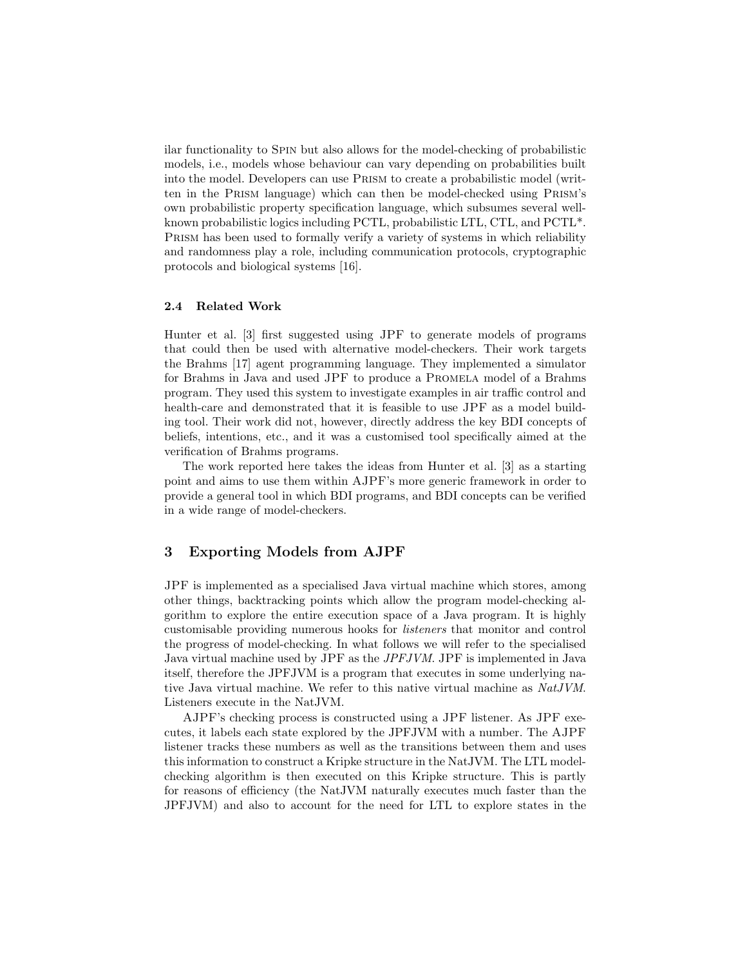ilar functionality to Spin but also allows for the model-checking of probabilistic models, i.e., models whose behaviour can vary depending on probabilities built into the model. Developers can use Prism to create a probabilistic model (written in the Prism language) which can then be model-checked using Prism's own probabilistic property specification language, which subsumes several wellknown probabilistic logics including PCTL, probabilistic LTL, CTL, and PCTL\*. Prism has been used to formally verify a variety of systems in which reliability and randomness play a role, including communication protocols, cryptographic protocols and biological systems [16].

#### 2.4 Related Work

Hunter et al. [3] first suggested using JPF to generate models of programs that could then be used with alternative model-checkers. Their work targets the Brahms [17] agent programming language. They implemented a simulator for Brahms in Java and used JPF to produce a Promela model of a Brahms program. They used this system to investigate examples in air traffic control and health-care and demonstrated that it is feasible to use JPF as a model building tool. Their work did not, however, directly address the key BDI concepts of beliefs, intentions, etc., and it was a customised tool specifically aimed at the verification of Brahms programs.

The work reported here takes the ideas from Hunter et al. [3] as a starting point and aims to use them within AJPF's more generic framework in order to provide a general tool in which BDI programs, and BDI concepts can be verified in a wide range of model-checkers.

# 3 Exporting Models from AJPF

JPF is implemented as a specialised Java virtual machine which stores, among other things, backtracking points which allow the program model-checking algorithm to explore the entire execution space of a Java program. It is highly customisable providing numerous hooks for listeners that monitor and control the progress of model-checking. In what follows we will refer to the specialised Java virtual machine used by JPF as the JPFJVM. JPF is implemented in Java itself, therefore the JPFJVM is a program that executes in some underlying native Java virtual machine. We refer to this native virtual machine as NatJVM. Listeners execute in the NatJVM.

AJPF's checking process is constructed using a JPF listener. As JPF executes, it labels each state explored by the JPFJVM with a number. The AJPF listener tracks these numbers as well as the transitions between them and uses this information to construct a Kripke structure in the NatJVM. The LTL modelchecking algorithm is then executed on this Kripke structure. This is partly for reasons of efficiency (the NatJVM naturally executes much faster than the JPFJVM) and also to account for the need for LTL to explore states in the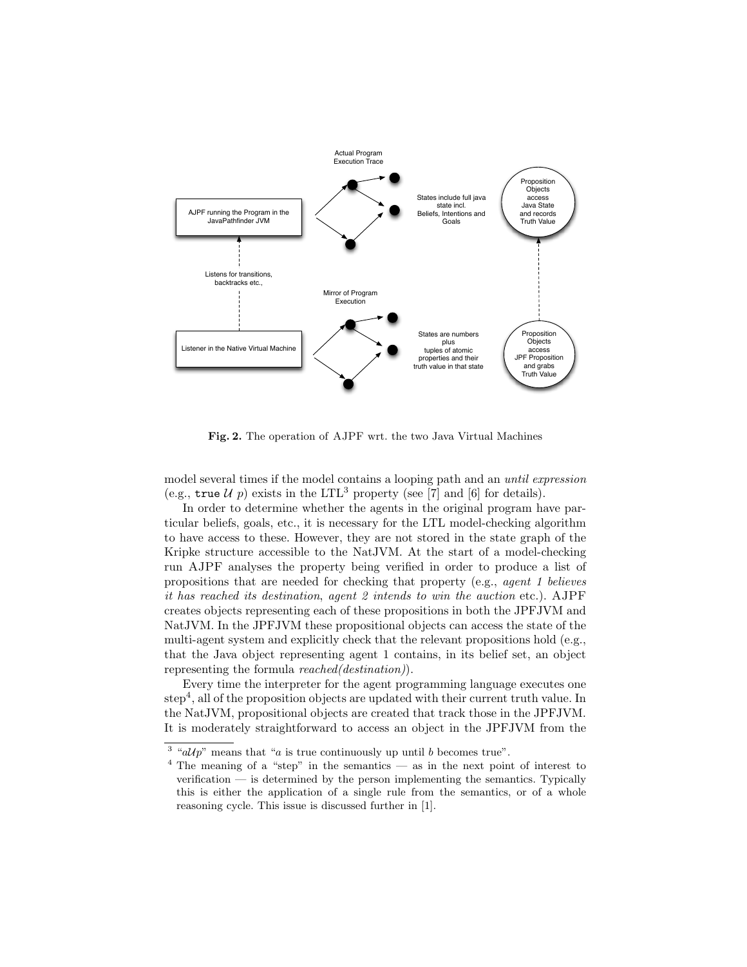

Fig. 2. The operation of AJPF wrt. the two Java Virtual Machines

model several times if the model contains a looping path and an *until expression* (e.g., true  $U$  p) exists in the LTL<sup>3</sup> property (see [7] and [6] for details).

In order to determine whether the agents in the original program have particular beliefs, goals, etc., it is necessary for the LTL model-checking algorithm to have access to these. However, they are not stored in the state graph of the Kripke structure accessible to the NatJVM. At the start of a model-checking run AJPF analyses the property being verified in order to produce a list of propositions that are needed for checking that property (e.g., agent 1 believes it has reached its destination, agent 2 intends to win the auction etc.). AJPF creates objects representing each of these propositions in both the JPFJVM and NatJVM. In the JPFJVM these propositional objects can access the state of the multi-agent system and explicitly check that the relevant propositions hold (e.g., that the Java object representing agent 1 contains, in its belief set, an object representing the formula reached(destination)).

Every time the interpreter for the agent programming language executes one step<sup>4</sup>, all of the proposition objects are updated with their current truth value. In the NatJVM, propositional objects are created that track those in the JPFJVM. It is moderately straightforward to access an object in the JPFJVM from the

<sup>&</sup>lt;sup>3</sup> " $a\mathcal{U}p$ " means that "*a* is true continuously up until *b* becomes true".

 $4$  The meaning of a "step" in the semantics — as in the next point of interest to verification — is determined by the person implementing the semantics. Typically this is either the application of a single rule from the semantics, or of a whole reasoning cycle. This issue is discussed further in [1].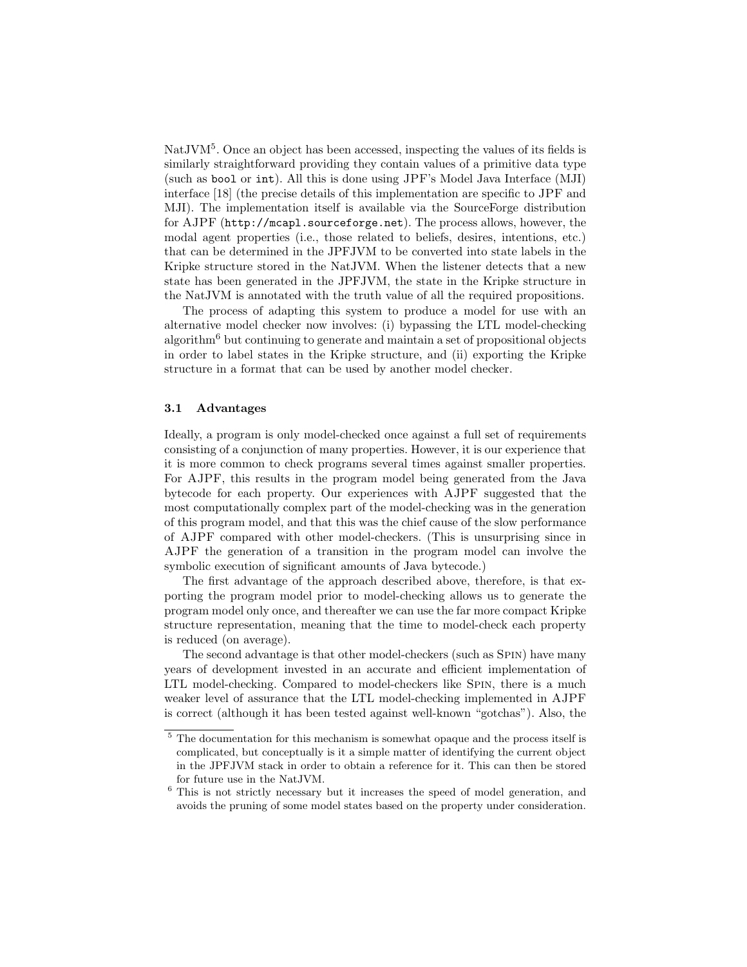NatJVM<sup>5</sup>. Once an object has been accessed, inspecting the values of its fields is similarly straightforward providing they contain values of a primitive data type (such as bool or int). All this is done using JPF's Model Java Interface (MJI) interface [18] (the precise details of this implementation are specific to JPF and MJI). The implementation itself is available via the SourceForge distribution for AJPF (http://mcapl.sourceforge.net). The process allows, however, the modal agent properties (i.e., those related to beliefs, desires, intentions, etc.) that can be determined in the JPFJVM to be converted into state labels in the Kripke structure stored in the NatJVM. When the listener detects that a new state has been generated in the JPFJVM, the state in the Kripke structure in the NatJVM is annotated with the truth value of all the required propositions.

The process of adapting this system to produce a model for use with an alternative model checker now involves: (i) bypassing the LTL model-checking algorithm<sup>6</sup> but continuing to generate and maintain a set of propositional objects in order to label states in the Kripke structure, and (ii) exporting the Kripke structure in a format that can be used by another model checker.

#### 3.1 Advantages

Ideally, a program is only model-checked once against a full set of requirements consisting of a conjunction of many properties. However, it is our experience that it is more common to check programs several times against smaller properties. For AJPF, this results in the program model being generated from the Java bytecode for each property. Our experiences with AJPF suggested that the most computationally complex part of the model-checking was in the generation of this program model, and that this was the chief cause of the slow performance of AJPF compared with other model-checkers. (This is unsurprising since in AJPF the generation of a transition in the program model can involve the symbolic execution of significant amounts of Java bytecode.)

The first advantage of the approach described above, therefore, is that exporting the program model prior to model-checking allows us to generate the program model only once, and thereafter we can use the far more compact Kripke structure representation, meaning that the time to model-check each property is reduced (on average).

The second advantage is that other model-checkers (such as Spin) have many years of development invested in an accurate and efficient implementation of LTL model-checking. Compared to model-checkers like Spin, there is a much weaker level of assurance that the LTL model-checking implemented in AJPF is correct (although it has been tested against well-known "gotchas"). Also, the

<sup>&</sup>lt;sup>5</sup> The documentation for this mechanism is somewhat opaque and the process itself is complicated, but conceptually is it a simple matter of identifying the current object in the JPFJVM stack in order to obtain a reference for it. This can then be stored for future use in the NatJVM.

 $6$  This is not strictly necessary but it increases the speed of model generation, and avoids the pruning of some model states based on the property under consideration.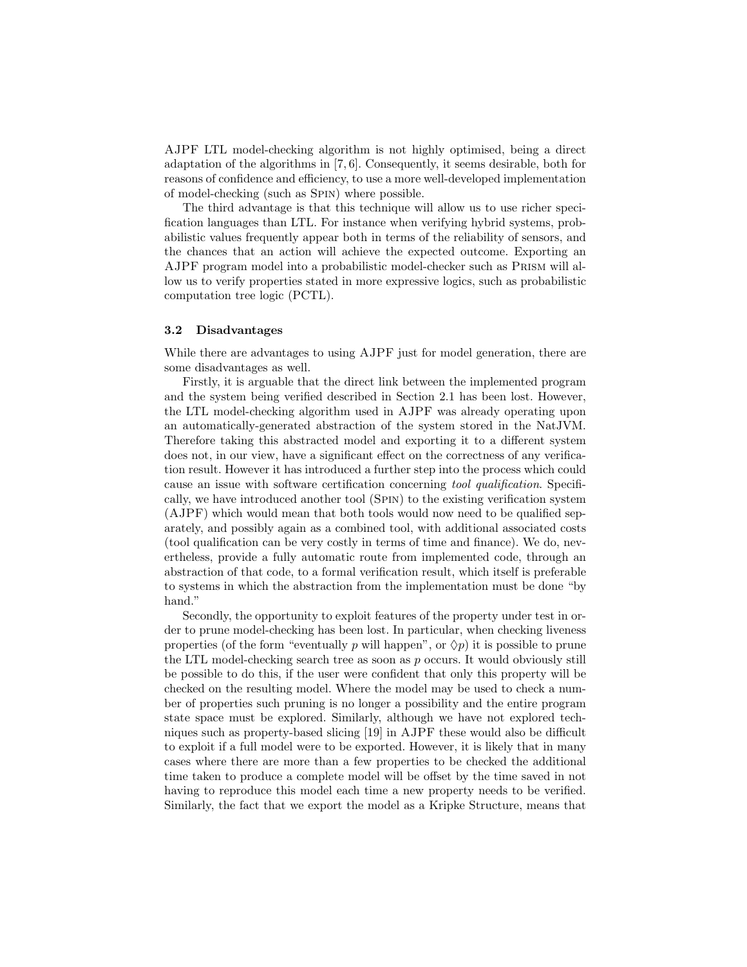AJPF LTL model-checking algorithm is not highly optimised, being a direct adaptation of the algorithms in [7, 6]. Consequently, it seems desirable, both for reasons of confidence and efficiency, to use a more well-developed implementation of model-checking (such as Spin) where possible.

The third advantage is that this technique will allow us to use richer specification languages than LTL. For instance when verifying hybrid systems, probabilistic values frequently appear both in terms of the reliability of sensors, and the chances that an action will achieve the expected outcome. Exporting an AJPF program model into a probabilistic model-checker such as Prism will allow us to verify properties stated in more expressive logics, such as probabilistic computation tree logic (PCTL).

#### 3.2 Disadvantages

While there are advantages to using AJPF just for model generation, there are some disadvantages as well.

Firstly, it is arguable that the direct link between the implemented program and the system being verified described in Section 2.1 has been lost. However, the LTL model-checking algorithm used in AJPF was already operating upon an automatically-generated abstraction of the system stored in the NatJVM. Therefore taking this abstracted model and exporting it to a different system does not, in our view, have a significant effect on the correctness of any verification result. However it has introduced a further step into the process which could cause an issue with software certification concerning tool qualification. Specifically, we have introduced another tool (Spin) to the existing verification system (AJPF) which would mean that both tools would now need to be qualified separately, and possibly again as a combined tool, with additional associated costs (tool qualification can be very costly in terms of time and finance). We do, nevertheless, provide a fully automatic route from implemented code, through an abstraction of that code, to a formal verification result, which itself is preferable to systems in which the abstraction from the implementation must be done "by hand."

Secondly, the opportunity to exploit features of the property under test in order to prune model-checking has been lost. In particular, when checking liveness properties (of the form "eventually p will happen", or  $\Diamond p$ ) it is possible to prune the LTL model-checking search tree as soon as p occurs. It would obviously still be possible to do this, if the user were confident that only this property will be checked on the resulting model. Where the model may be used to check a number of properties such pruning is no longer a possibility and the entire program state space must be explored. Similarly, although we have not explored techniques such as property-based slicing [19] in AJPF these would also be difficult to exploit if a full model were to be exported. However, it is likely that in many cases where there are more than a few properties to be checked the additional time taken to produce a complete model will be offset by the time saved in not having to reproduce this model each time a new property needs to be verified. Similarly, the fact that we export the model as a Kripke Structure, means that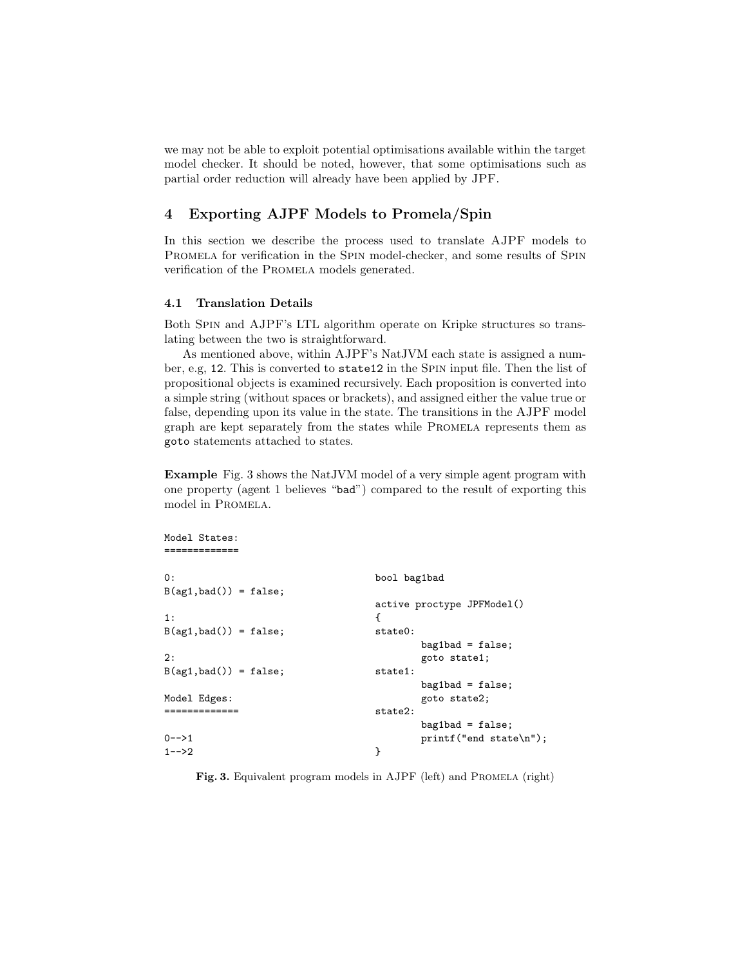we may not be able to exploit potential optimisations available within the target model checker. It should be noted, however, that some optimisations such as partial order reduction will already have been applied by JPF.

# 4 Exporting AJPF Models to Promela/Spin

In this section we describe the process used to translate AJPF models to PROMELA for verification in the SPIN model-checker, and some results of SPIN verification of the Promela models generated.

#### 4.1 Translation Details

Both Spin and AJPF's LTL algorithm operate on Kripke structures so translating between the two is straightforward.

As mentioned above, within AJPF's NatJVM each state is assigned a number, e.g, 12. This is converted to state12 in the Spin input file. Then the list of propositional objects is examined recursively. Each proposition is converted into a simple string (without spaces or brackets), and assigned either the value true or false, depending upon its value in the state. The transitions in the AJPF model graph are kept separately from the states while Promela represents them as goto statements attached to states.

Example Fig. 3 shows the NatJVM model of a very simple agent program with one property (agent 1 believes "bad") compared to the result of exporting this model in Promela.

```
Model States:
=============
\OmegaB(ag1, bad()) = false;1:
B(ag1, bad()) = false;2:B(ag1, bad()) = false;Model Edges:
=============
0--&>11--&>2bool bag1bad
                                       active proctype JPFModel()
                                       {
                                       state0:
                                               bag1bad = false;
                                               goto state1;
                                       state1:
                                               bag1bad = false;
                                               goto state2;
                                       state2:
                                               bag1bad = false;
                                               printf("end state\n");
                                       }
```
Fig. 3. Equivalent program models in AJPF (left) and PROMELA (right)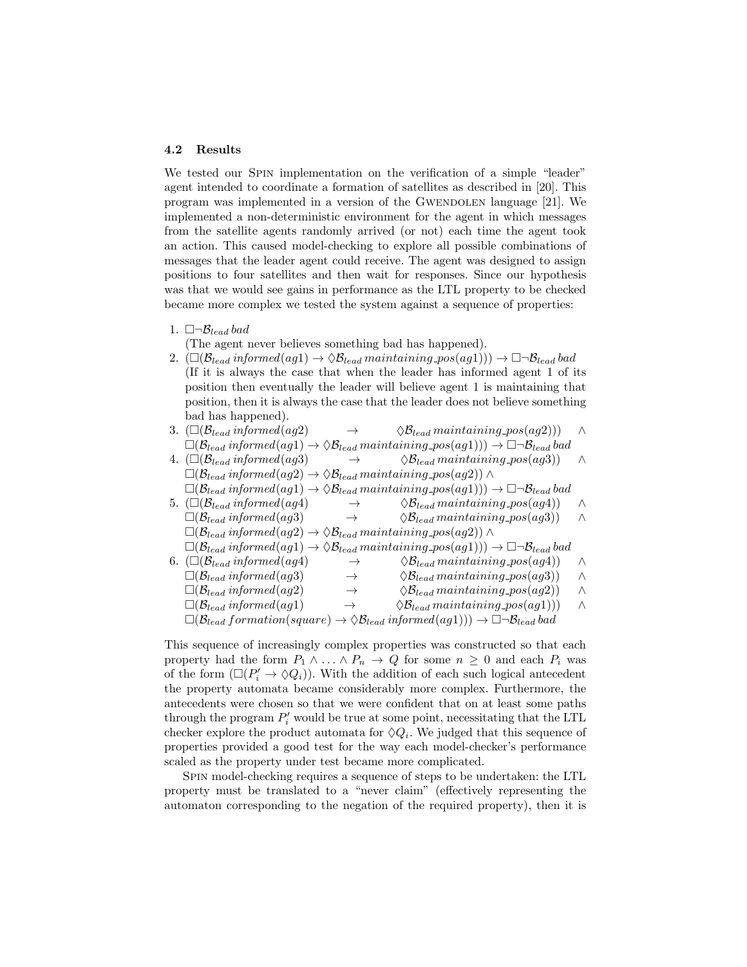#### 4.2 Results

We tested our SPIN implementation on the verification of a simple "leader" agent intended to coordinate a formation of satellites as described in [20]. This program was implemented in a version of the GWENDOLEN language [21]. We implemented a non-deterministic environment for the agent in which messages from the satellite agents randomly arrived (or not) each time the agent took an action. This caused model-checking to explore all possible combinations of messages that the leader agent could receive. The agent was designed to assign positions to four satellites and then wait for responses. Since our hypothesis was that we would see gains in performance as the LTL property to be checked became more complex we tested the system against a sequence of properties:

1.  $\Box \neg \mathcal{B}_{lead}$  bad

(The agent never believes something bad has happened).

- 2.  $(\Box(\mathcal{B}_{lead} \text{ informed}(ag1) \rightarrow \Diamond \mathcal{B}_{lead} \text{maintaining\_pos}(ag1))) \rightarrow \Box \neg \mathcal{B}_{lead} \text{bad}$ (If it is always the case that when the leader has informed agent 1 of its position then eventually the leader will believe agent 1 is maintaining that position, then it is always the case that the leader does not believe something bad has happened).
- 3.  $(\Box(\mathcal{B}_{lead} \text{ informed}(ag2) \rightarrow \Diamond \mathcal{B}_{lead} \text{maintaining\_pos}(ag2))) \wedge$  $\square(\mathcal{B}_{lead} \text{ informed}(ag1) \rightarrow \lozenge \mathcal{B}_{lead} \text{maintaining\_pos}(ag1))) \rightarrow \square \neg \mathcal{B}_{lead} \text{bad}$
- 4.  $(\Box(\mathcal{B}_{lead} \text{ informed}(ag3)) \rightarrow \Diamond \mathcal{B}_{lead} \text{maintaining\_pos}(ag3)) \land$  $\Box(\mathcal{B}_{lead} \text{ informed}(ag2) \rightarrow \Diamond \mathcal{B}_{lead} \text{maintaining\_pos}(ag2)) \land$  $\square(\mathcal{B}_{lead} \text{ informed}(ag1) \rightarrow \lozenge \mathcal{B}_{lead} \text{maintaining\_pos}(ag1))) \rightarrow \square \neg \mathcal{B}_{lead} \text{bad}$
- 5.  $(\Box(\mathcal{B}_{lead} \text{ informed}(ag4) \rightarrow \Diamond \mathcal{B}_{lead} \text{maintaining\_pos}(ag4)) \wedge$  $\Box(\mathcal{B}_{lead} \text{ informed}(ag3) \rightarrow \Diamond \mathcal{B}_{lead} \text{maintaining\_pos}(ag3)) \quad \land$  $\Box(\mathcal{B}_{lead} \text{ informed}(ag2) \rightarrow \Diamond \mathcal{B}_{lead} \text{maintaining\_pos}(ag2)) \land$  $\square(\mathcal{B}_{lead} \text{ informed}(ag1) \rightarrow \lozenge \mathcal{B}_{lead} \text{maintaining\_pos}(ag1))) \rightarrow \square \neg \mathcal{B}_{lead} \text{bad}$ 6.  $(\Box(\mathcal{B}_{lead} \text{ informed}(ag4) \rightarrow \Diamond \mathcal{B}_{lead} \text{maintaining\_pos}(ag4)) \wedge$  $\Box(\mathcal{B}_{lead} \text{ informed}(ag3) \rightarrow \Box(\mathcal{B}_{lead} \text{m}_{and} \text{intaining\_pos}(ag3)) \wedge \Box(\mathcal{B}_{lead} \text{informed}(ag2) \rightarrow \Diamond \mathcal{B}_{lead} \text{m}_{and} \text{in} \text{t}_{and} \text{in} \text{t}_{and} \Box) \wedge$  $\Box(\mathcal{B}_{lead} \text{ informed}(ag2) \rightarrow \Box(\mathcal{B}_{lead} \text{informed}(ag1)) \rightarrow \Box(\mathcal{B}_{lead} \text{informed}(ag1))) \wedge$  $\square(\mathcal{B}_{lead} \text{ informed}(ag1) \rightarrow \Diamond \mathcal{B}_{lead} \text{maintaining\_pos}(ag1))) \wedge$  $\square(\mathcal{B}_{lead}$  formation(square)  $\rightarrow \lozenge \mathcal{B}_{lead}$  informed(ag1)))  $\rightarrow \square \neg \mathcal{B}_{lead}$  bad

This sequence of increasingly complex properties was constructed so that each property had the form  $P_1 \wedge \ldots \wedge P_n \rightarrow Q$  for some  $n \geq 0$  and each  $P_i$  was of the form  $(\Box(P_i' \to \Diamond Q_i))$ . With the addition of each such logical antecedent the property automata became considerably more complex. Furthermore, the antecedents were chosen so that we were confident that on at least some paths through the program  $P'_i$  would be true at some point, necessitating that the LTL checker explore the product automata for  $\Diamond Q_i$ . We judged that this sequence of properties provided a good test for the way each model-checker's performance scaled as the property under test became more complicated.

Spin model-checking requires a sequence of steps to be undertaken: the LTL property must be translated to a "never claim" (effectively representing the automaton corresponding to the negation of the required property), then it is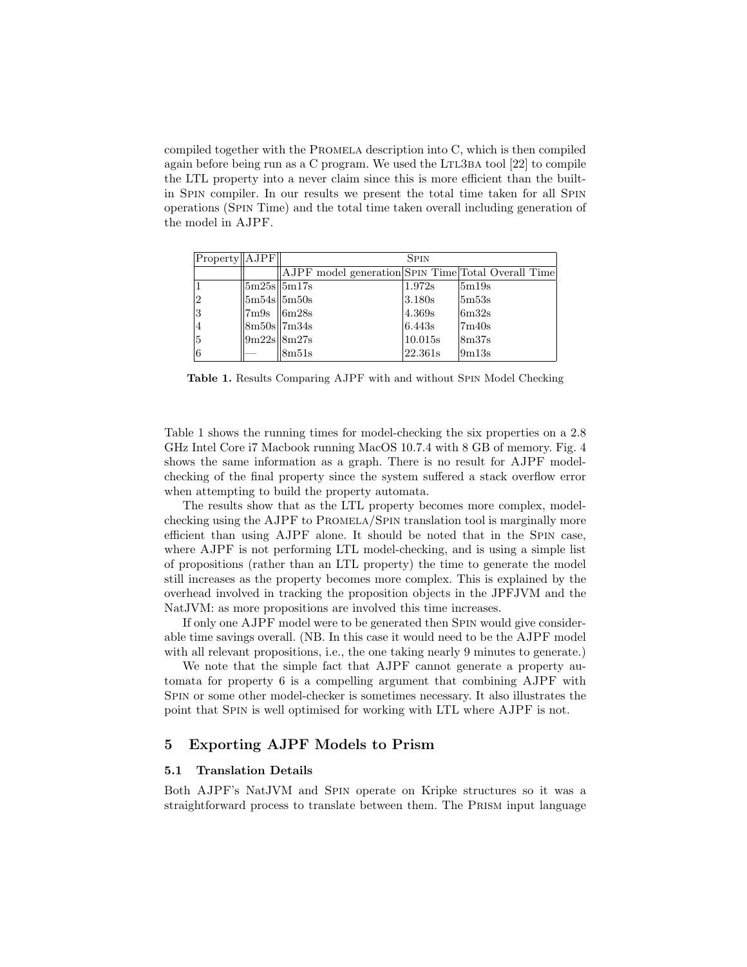compiled together with the Promela description into C, which is then compiled again before being run as a C program. We used the LTL3BA tool  $[22]$  to compile the LTL property into a never claim since this is more efficient than the builtin Spin compiler. In our results we present the total time taken for all Spin operations (Spin Time) and the total time taken overall including generation of the model in AJPF.

| Property   AJPF |                                       | <b>SPIN</b>                                        |         |                   |  |  |
|-----------------|---------------------------------------|----------------------------------------------------|---------|-------------------|--|--|
|                 |                                       | AJPF model generation SPIN Time Total Overall Time |         |                   |  |  |
|                 |                                       | $5m25s$ $5m17s$                                    | 1.972s  | 5m19s             |  |  |
| $\overline{2}$  | 5m54s   5m50s                         |                                                    | 3.180s  | 5m53s             |  |  |
| 3               | $7m9s$ $16m28s$                       |                                                    | 4.369s  | 6m32s             |  |  |
| 4               | $\vert 8m50s \vert \vert 7m34s \vert$ |                                                    | 6.443s  | 7m40s             |  |  |
| 5               | 9m22s  8m27s                          |                                                    | 10.015s | 8 <sub>m37s</sub> |  |  |
| 6               |                                       | $\sqrt{8m51s}$                                     | 22.361s | 9m13s             |  |  |

Table 1. Results Comparing AJPF with and without Spin Model Checking

Table 1 shows the running times for model-checking the six properties on a 2.8 GHz Intel Core i7 Macbook running MacOS 10.7.4 with 8 GB of memory. Fig. 4 shows the same information as a graph. There is no result for AJPF modelchecking of the final property since the system suffered a stack overflow error when attempting to build the property automata.

The results show that as the LTL property becomes more complex, modelchecking using the AJPF to Promela/Spin translation tool is marginally more efficient than using AJPF alone. It should be noted that in the Spin case, where AJPF is not performing LTL model-checking, and is using a simple list of propositions (rather than an LTL property) the time to generate the model still increases as the property becomes more complex. This is explained by the overhead involved in tracking the proposition objects in the JPFJVM and the NatJVM: as more propositions are involved this time increases.

If only one AJPF model were to be generated then Spin would give considerable time savings overall. (NB. In this case it would need to be the AJPF model with all relevant propositions, i.e., the one taking nearly 9 minutes to generate.)

We note that the simple fact that AJPF cannot generate a property automata for property 6 is a compelling argument that combining AJPF with Spin or some other model-checker is sometimes necessary. It also illustrates the point that Spin is well optimised for working with LTL where AJPF is not.

# 5 Exporting AJPF Models to Prism

#### 5.1 Translation Details

Both AJPF's NatJVM and Spin operate on Kripke structures so it was a straightforward process to translate between them. The Prism input language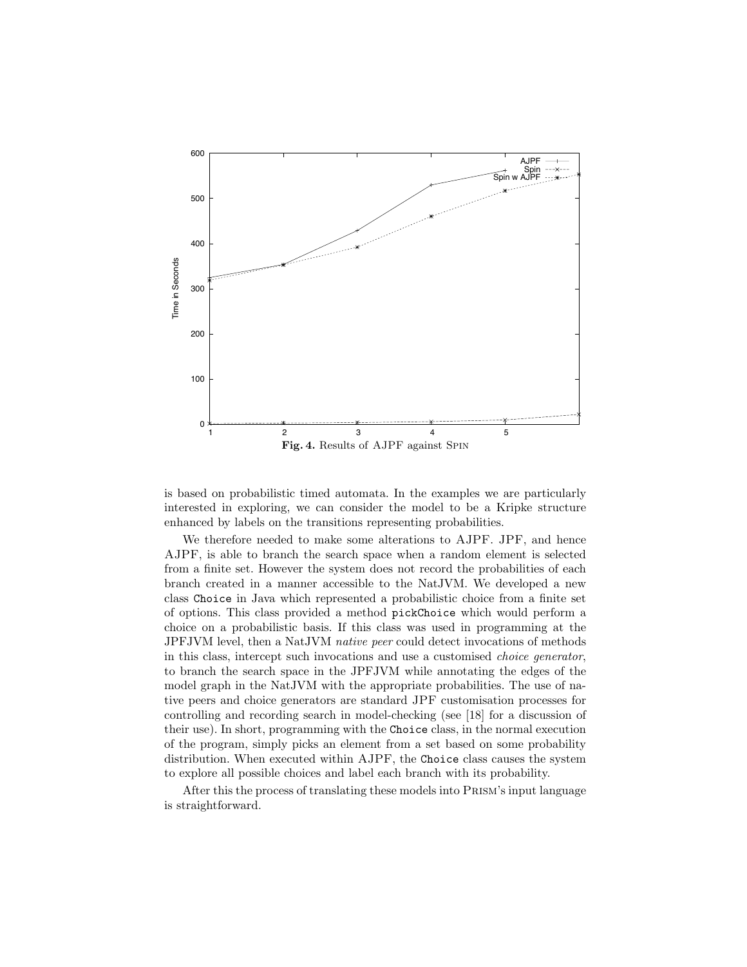

is based on probabilistic timed automata. In the examples we are particularly interested in exploring, we can consider the model to be a Kripke structure enhanced by labels on the transitions representing probabilities.

We therefore needed to make some alterations to AJPF. JPF, and hence AJPF, is able to branch the search space when a random element is selected from a finite set. However the system does not record the probabilities of each branch created in a manner accessible to the NatJVM. We developed a new class Choice in Java which represented a probabilistic choice from a finite set of options. This class provided a method pickChoice which would perform a choice on a probabilistic basis. If this class was used in programming at the JPFJVM level, then a NatJVM native peer could detect invocations of methods in this class, intercept such invocations and use a customised choice generator, to branch the search space in the JPFJVM while annotating the edges of the model graph in the NatJVM with the appropriate probabilities. The use of native peers and choice generators are standard JPF customisation processes for controlling and recording search in model-checking (see [18] for a discussion of their use). In short, programming with the Choice class, in the normal execution of the program, simply picks an element from a set based on some probability distribution. When executed within AJPF, the Choice class causes the system to explore all possible choices and label each branch with its probability.

After this the process of translating these models into Prism's input language is straightforward.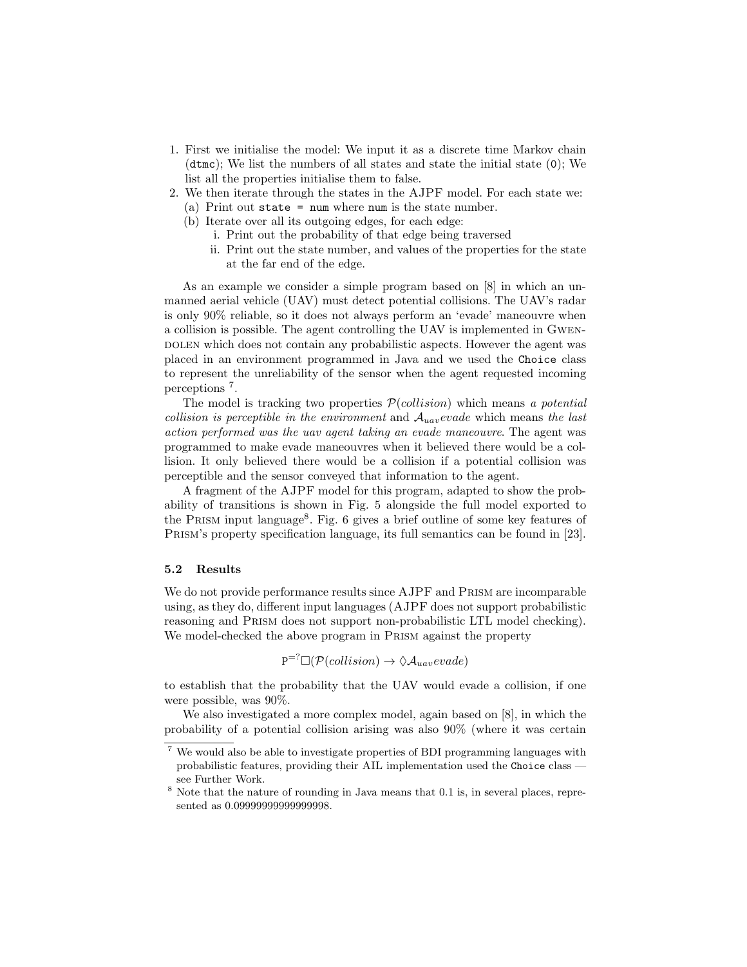- 1. First we initialise the model: We input it as a discrete time Markov chain (dtmc); We list the numbers of all states and state the initial state (0); We list all the properties initialise them to false.
- 2. We then iterate through the states in the AJPF model. For each state we:
	- (a) Print out state = num where num is the state number.
	- (b) Iterate over all its outgoing edges, for each edge:
		- i. Print out the probability of that edge being traversed
		- ii. Print out the state number, and values of the properties for the state at the far end of the edge.

As an example we consider a simple program based on [8] in which an unmanned aerial vehicle (UAV) must detect potential collisions. The UAV's radar is only 90% reliable, so it does not always perform an 'evade' maneouvre when a collision is possible. The agent controlling the UAV is implemented in Gwendolen which does not contain any probabilistic aspects. However the agent was placed in an environment programmed in Java and we used the Choice class to represent the unreliability of the sensor when the agent requested incoming perceptions <sup>7</sup> .

The model is tracking two properties  $P(collision)$  which means a potential collision is perceptible in the environment and  $A_{uav}$ evade which means the last action performed was the uav agent taking an evade maneouvre. The agent was programmed to make evade maneouvres when it believed there would be a collision. It only believed there would be a collision if a potential collision was perceptible and the sensor conveyed that information to the agent.

A fragment of the AJPF model for this program, adapted to show the probability of transitions is shown in Fig. 5 alongside the full model exported to the PRISM input language<sup>8</sup>. Fig. 6 gives a brief outline of some key features of Prism's property specification language, its full semantics can be found in [23].

#### 5.2 Results

We do not provide performance results since AJPF and PRISM are incomparable using, as they do, different input languages (AJPF does not support probabilistic reasoning and Prism does not support non-probabilistic LTL model checking). We model-checked the above program in PRISM against the property

 $P^{-?} \Box (\mathcal{P}(collision) \rightarrow \Diamond A_{uav} evade)$ 

to establish that the probability that the UAV would evade a collision, if one were possible, was 90%.

We also investigated a more complex model, again based on [8], in which the probability of a potential collision arising was also 90% (where it was certain

<sup>7</sup> We would also be able to investigate properties of BDI programming languages with probabilistic features, providing their AIL implementation used the Choice class see Further Work.

 $8$  Note that the nature of rounding in Java means that 0.1 is, in several places, represented as 0.09999999999999998.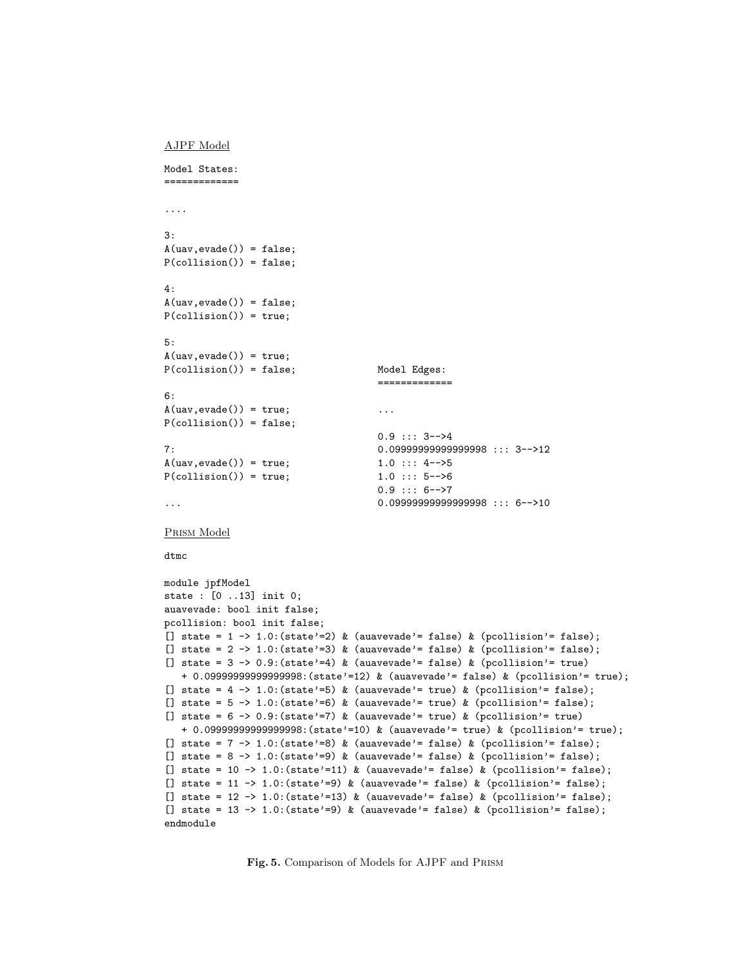AJPF Model

```
Model States:
=============
....
3:
A(uav, evade()) = false;
P(collision() = false;4:
A(uav, evade()) = false;
P(collision()) = true;5:
A(uav, evade()) = true;
P(collision()) = false;6.A(uav, evade()) = true;
P(collision()) = false;
7:
A(uav, evade()) = true;
P(collision()) = true;...
                                      Model Edges:
                                        =============
                                        ...
                                        0.9 :: : 3-->40.09999999999999998 ::: 3-->12
                                        1.0 ::: 4-->51.0 ::: 5-->60.9 :: 6--270.09999999999999998 ::: 6-->10
PRISM Model
dtmc
module jpfModel
state : [0 ..13] init 0;
auavevade: bool init false;
pcollision: bool init false;
[] state = 1 \rightarrow 1.0: (state'=2) & (auavevade'= false) & (pcollision'= false);
[] state = 2 \rightarrow 1.0: (state'=3) & (auavevade'= false) & (pcollision'= false);
[] state = 3 \rightarrow 0.9: (state'=4) & (auavevade'= false) & (pcollision'= true)
   + 0.09999999999999998:(state'=12) & (auavevade'= false) & (pcollision'= true);
[] state = 4 \rightarrow 1.0: (state'=5) & (auavevade'= true) & (pcollision'= false);
[] state = 5 \rightarrow 1.0:(state'=6) & (auavevade'= true) & (pcollision'= false);
[] state = 6 \rightarrow 0.9: (state'=7) & (auavevade'= true) & (pcollision'= true)
   + 0.09999999999999998:(state'=10) & (auavevade'= true) & (pcollision'= true);
[] state = 7 \rightarrow 1.0: (state'=8) & (auavevade'= false) & (pcollision'= false);
[] state = 8 \rightarrow 1.0: (state'=9) & (auavevade'= false) & (pcollision'= false);
[] state = 10 \rightarrow 1.0: (state'=11) & (auavevade'= false) & (pcollision'= false);
[] state = 11 \rightarrow 1.0: (state'=9) & (auavevade'= false) & (pcollision'= false);
[] state = 12 \rightarrow 1.0: (state'=13) & (auavevade'= false) & (pcollision'= false);
[] state = 13 \rightarrow 1.0:(state'=9) & (auavevade'= false) & (pcollision'= false);
endmodule
```
Fig. 5. Comparison of Models for AJPF and Prism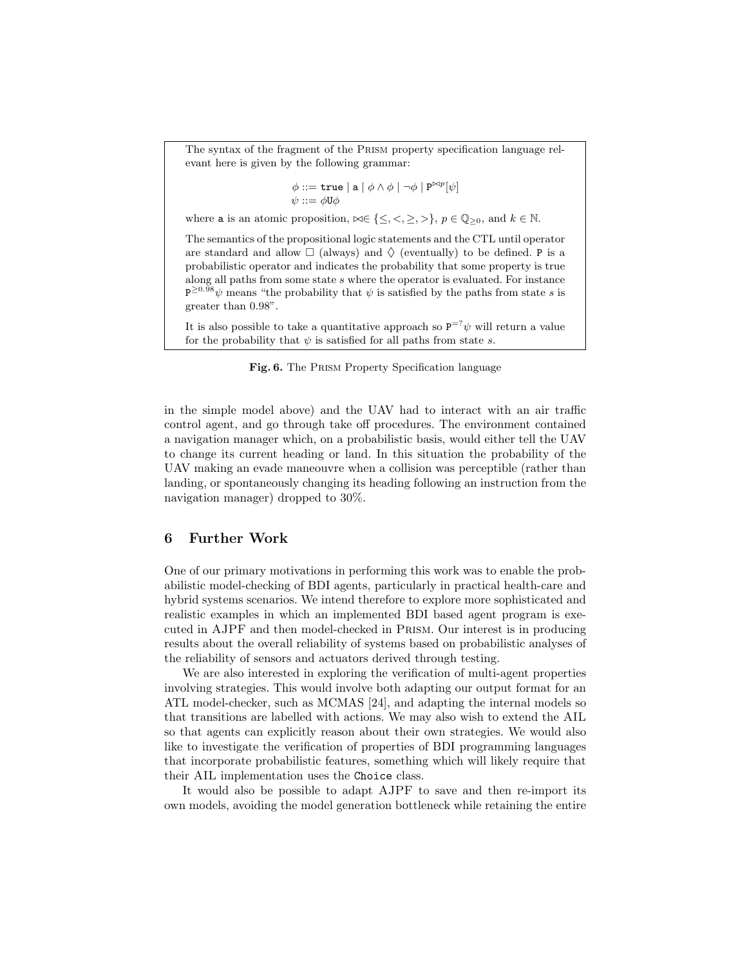The syntax of the fragment of the Prism property specification language relevant here is given by the following grammar:

$$
\begin{array}{l}\n\phi ::= \mathtt{true} \mid \mathtt{a} \mid \phi \land \phi \mid \neg \phi \mid \mathtt{P}^{\bowtie p}[\psi] \\
\psi ::= \phi \mathtt{U} \phi\n\end{array}
$$

where a is an atomic proposition,  $\bowtie \in \{\leq, <, \geq, >\}, p \in \mathbb{Q}_{\geq 0}$ , and  $k \in \mathbb{N}$ .

The semantics of the propositional logic statements and the CTL until operator are standard and allow  $\Box$  (always) and  $\Diamond$  (eventually) to be defined. P is a probabilistic operator and indicates the probability that some property is true along all paths from some state s where the operator is evaluated. For instance  $P^{\geq 0.98} \psi$  means "the probability that  $\psi$  is satisfied by the paths from state s is greater than 0.98".

It is also possible to take a quantitative approach so  $P^{-?}\psi$  will return a value for the probability that  $\psi$  is satisfied for all paths from state s.

Fig. 6. The Prism Property Specification language

in the simple model above) and the UAV had to interact with an air traffic control agent, and go through take off procedures. The environment contained a navigation manager which, on a probabilistic basis, would either tell the UAV to change its current heading or land. In this situation the probability of the UAV making an evade maneouvre when a collision was perceptible (rather than landing, or spontaneously changing its heading following an instruction from the navigation manager) dropped to 30%.

# 6 Further Work

One of our primary motivations in performing this work was to enable the probabilistic model-checking of BDI agents, particularly in practical health-care and hybrid systems scenarios. We intend therefore to explore more sophisticated and realistic examples in which an implemented BDI based agent program is executed in AJPF and then model-checked in Prism. Our interest is in producing results about the overall reliability of systems based on probabilistic analyses of the reliability of sensors and actuators derived through testing.

We are also interested in exploring the verification of multi-agent properties involving strategies. This would involve both adapting our output format for an ATL model-checker, such as MCMAS [24], and adapting the internal models so that transitions are labelled with actions. We may also wish to extend the AIL so that agents can explicitly reason about their own strategies. We would also like to investigate the verification of properties of BDI programming languages that incorporate probabilistic features, something which will likely require that their AIL implementation uses the Choice class.

It would also be possible to adapt AJPF to save and then re-import its own models, avoiding the model generation bottleneck while retaining the entire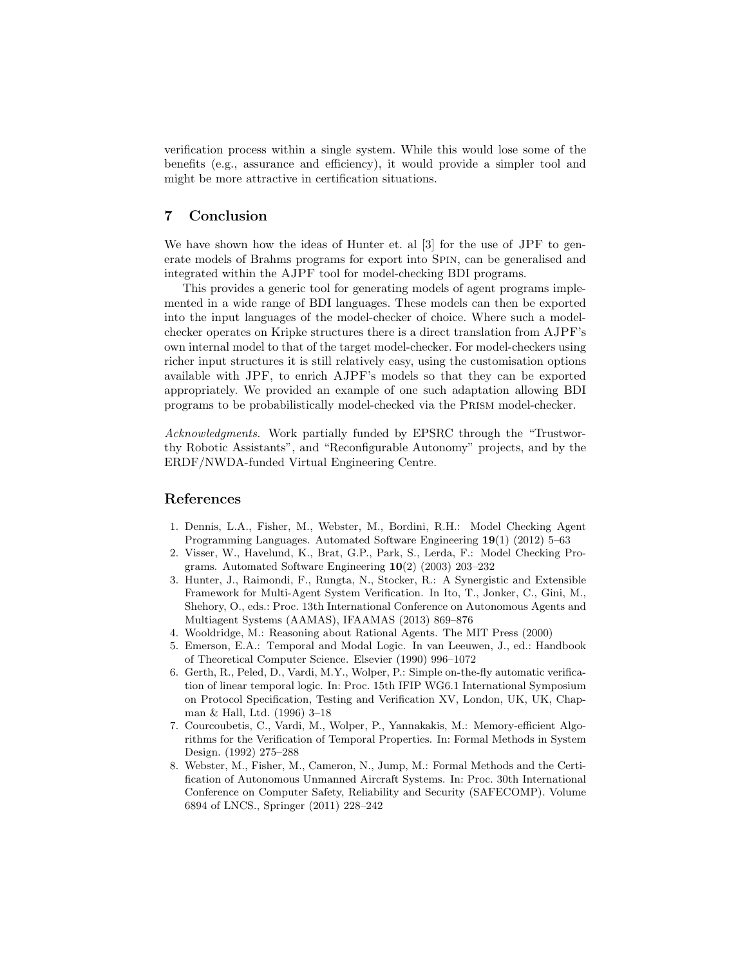verification process within a single system. While this would lose some of the benefits (e.g., assurance and efficiency), it would provide a simpler tool and might be more attractive in certification situations.

# 7 Conclusion

We have shown how the ideas of Hunter et. al [3] for the use of JPF to generate models of Brahms programs for export into Spin, can be generalised and integrated within the AJPF tool for model-checking BDI programs.

This provides a generic tool for generating models of agent programs implemented in a wide range of BDI languages. These models can then be exported into the input languages of the model-checker of choice. Where such a modelchecker operates on Kripke structures there is a direct translation from AJPF's own internal model to that of the target model-checker. For model-checkers using richer input structures it is still relatively easy, using the customisation options available with JPF, to enrich AJPF's models so that they can be exported appropriately. We provided an example of one such adaptation allowing BDI programs to be probabilistically model-checked via the Prism model-checker.

Acknowledgments. Work partially funded by EPSRC through the "Trustworthy Robotic Assistants", and "Reconfigurable Autonomy" projects, and by the ERDF/NWDA-funded Virtual Engineering Centre.

## References

- 1. Dennis, L.A., Fisher, M., Webster, M., Bordini, R.H.: Model Checking Agent Programming Languages. Automated Software Engineering 19(1) (2012) 5–63
- 2. Visser, W., Havelund, K., Brat, G.P., Park, S., Lerda, F.: Model Checking Programs. Automated Software Engineering 10(2) (2003) 203–232
- 3. Hunter, J., Raimondi, F., Rungta, N., Stocker, R.: A Synergistic and Extensible Framework for Multi-Agent System Verification. In Ito, T., Jonker, C., Gini, M., Shehory, O., eds.: Proc. 13th International Conference on Autonomous Agents and Multiagent Systems (AAMAS), IFAAMAS (2013) 869–876
- 4. Wooldridge, M.: Reasoning about Rational Agents. The MIT Press (2000)
- 5. Emerson, E.A.: Temporal and Modal Logic. In van Leeuwen, J., ed.: Handbook of Theoretical Computer Science. Elsevier (1990) 996–1072
- 6. Gerth, R., Peled, D., Vardi, M.Y., Wolper, P.: Simple on-the-fly automatic verification of linear temporal logic. In: Proc. 15th IFIP WG6.1 International Symposium on Protocol Specification, Testing and Verification XV, London, UK, UK, Chapman & Hall, Ltd. (1996) 3–18
- 7. Courcoubetis, C., Vardi, M., Wolper, P., Yannakakis, M.: Memory-efficient Algorithms for the Verification of Temporal Properties. In: Formal Methods in System Design. (1992) 275–288
- 8. Webster, M., Fisher, M., Cameron, N., Jump, M.: Formal Methods and the Certification of Autonomous Unmanned Aircraft Systems. In: Proc. 30th International Conference on Computer Safety, Reliability and Security (SAFECOMP). Volume 6894 of LNCS., Springer (2011) 228–242